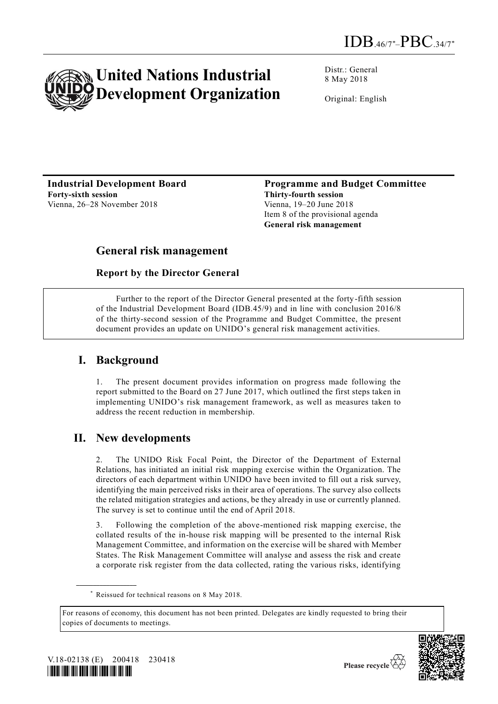

Distr.: General 8 May 2018

Original: English

**Industrial Development Board Forty-sixth session** Vienna, 26-28 November 2018

**Programme and Budget Committee Thirty-fourth session** Vienna, 19–20 June 2018 Item 8 of the provisional agenda **General risk management**

# **General risk management**

#### **Report by the Director General**

Further to the report of the Director General presented at the forty-fifth session of the Industrial Development Board (IDB.45/9) and in line with conclusion 2016/8 of the thirty-second session of the Programme and Budget Committee, the present document provides an update on UNIDO's general risk management activities.

## **I. Background**

1. The present document provides information on progress made following the report submitted to the Board on 27 June 2017, which outlined the first steps taken in implementing UNIDO's risk management framework, as well as measures taken to address the recent reduction in membership.

## **II. New developments**

The UNIDO Risk Focal Point, the Director of the Department of External Relations, has initiated an initial risk mapping exercise within the Organization. The directors of each department within UNIDO have been invited to fill out a risk survey, identifying the main perceived risks in their area of operations. The survey also collects the related mitigation strategies and actions, be they already in use or currently planned. The survey is set to continue until the end of April 2018.

Following the completion of the above-mentioned risk mapping exercise, the collated results of the in-house risk mapping will be presented to the internal Risk Management Committee, and information on the exercise will be shared with Member States. The Risk Management Committee will analyse and assess the risk and create a corporate risk register from the data collected, rating the various risks, identifying

For reasons of economy, this document has not been printed. Delegates are kindly requested to bring their copies of documents to meetings.



**\_\_\_\_\_\_\_\_\_\_\_\_\_\_\_\_\_\_**



<sup>\*</sup> Reissued for technical reasons on 8 May 2018.